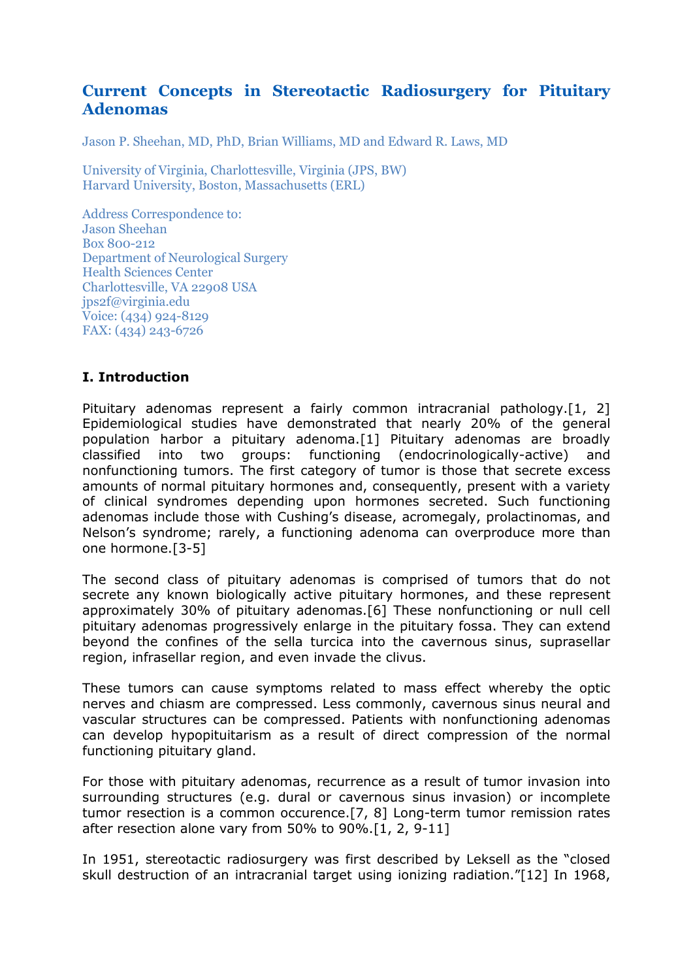# **Current Concepts in Stereotactic Radiosurgery for Pituitary Adenomas**

Jason P. Sheehan, MD, PhD, Brian Williams, MD and Edward R. Laws, MD

University of Virginia, Charlottesville, Virginia (JPS, BW) Harvard University, Boston, Massachusetts (ERL)

Address Correspondence to: Jason Sheehan Box 800-212 Department of Neurological Surgery Health Sciences Center Charlottesville, VA 22908 USA jps2f@virginia.edu Voice: (434) 924-8129 FAX: (434) 243-6726

### **I. Introduction**

Pituitary adenomas represent a fairly common intracranial pathology.[1, 2] Epidemiological studies have demonstrated that nearly 20% of the general population harbor a pituitary adenoma.[1] Pituitary adenomas are broadly classified into two groups: functioning (endocrinologically-active) and nonfunctioning tumors. The first category of tumor is those that secrete excess amounts of normal pituitary hormones and, consequently, present with a variety of clinical syndromes depending upon hormones secreted. Such functioning adenomas include those with Cushing's disease, acromegaly, prolactinomas, and Nelson's syndrome; rarely, a functioning adenoma can overproduce more than one hormone.[3-5]

The second class of pituitary adenomas is comprised of tumors that do not secrete any known biologically active pituitary hormones, and these represent approximately 30% of pituitary adenomas.[6] These nonfunctioning or null cell pituitary adenomas progressively enlarge in the pituitary fossa. They can extend beyond the confines of the sella turcica into the cavernous sinus, suprasellar region, infrasellar region, and even invade the clivus.

These tumors can cause symptoms related to mass effect whereby the optic nerves and chiasm are compressed. Less commonly, cavernous sinus neural and vascular structures can be compressed. Patients with nonfunctioning adenomas can develop hypopituitarism as a result of direct compression of the normal functioning pituitary gland.

For those with pituitary adenomas, recurrence as a result of tumor invasion into surrounding structures (e.g. dural or cavernous sinus invasion) or incomplete tumor resection is a common occurence.[7, 8] Long-term tumor remission rates after resection alone vary from 50% to 90%.[1, 2, 9-11]

In 1951, stereotactic radiosurgery was first described by Leksell as the "closed skull destruction of an intracranial target using ionizing radiation."[12] In 1968,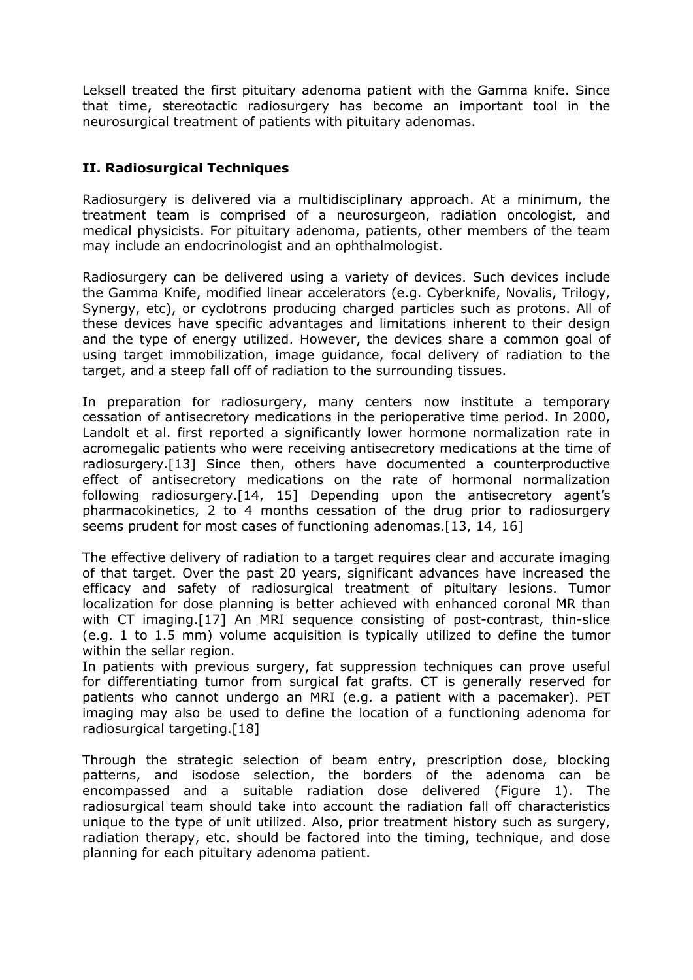Leksell treated the first pituitary adenoma patient with the Gamma knife. Since that time, stereotactic radiosurgery has become an important tool in the neurosurgical treatment of patients with pituitary adenomas.

## **II. Radiosurgical Techniques**

Radiosurgery is delivered via a multidisciplinary approach. At a minimum, the treatment team is comprised of a neurosurgeon, radiation oncologist, and medical physicists. For pituitary adenoma, patients, other members of the team may include an endocrinologist and an ophthalmologist.

Radiosurgery can be delivered using a variety of devices. Such devices include the Gamma Knife, modified linear accelerators (e.g. Cyberknife, Novalis, Trilogy, Synergy, etc), or cyclotrons producing charged particles such as protons. All of these devices have specific advantages and limitations inherent to their design and the type of energy utilized. However, the devices share a common goal of using target immobilization, image guidance, focal delivery of radiation to the target, and a steep fall off of radiation to the surrounding tissues.

In preparation for radiosurgery, many centers now institute a temporary cessation of antisecretory medications in the perioperative time period. In 2000, Landolt et al. first reported a significantly lower hormone normalization rate in acromegalic patients who were receiving antisecretory medications at the time of radiosurgery.[13] Since then, others have documented a counterproductive effect of antisecretory medications on the rate of hormonal normalization following radiosurgery.[14, 15] Depending upon the antisecretory agent's pharmacokinetics, 2 to 4 months cessation of the drug prior to radiosurgery seems prudent for most cases of functioning adenomas.[13, 14, 16]

The effective delivery of radiation to a target requires clear and accurate imaging of that target. Over the past 20 years, significant advances have increased the efficacy and safety of radiosurgical treatment of pituitary lesions. Tumor localization for dose planning is better achieved with enhanced coronal MR than with CT imaging.[17] An MRI sequence consisting of post-contrast, thin-slice (e.g. 1 to 1.5 mm) volume acquisition is typically utilized to define the tumor within the sellar region.

In patients with previous surgery, fat suppression techniques can prove useful for differentiating tumor from surgical fat grafts. CT is generally reserved for patients who cannot undergo an MRI (e.g. a patient with a pacemaker). PET imaging may also be used to define the location of a functioning adenoma for radiosurgical targeting.[18]

Through the strategic selection of beam entry, prescription dose, blocking patterns, and isodose selection, the borders of the adenoma can be encompassed and a suitable radiation dose delivered (Figure 1). The radiosurgical team should take into account the radiation fall off characteristics unique to the type of unit utilized. Also, prior treatment history such as surgery, radiation therapy, etc. should be factored into the timing, technique, and dose planning for each pituitary adenoma patient.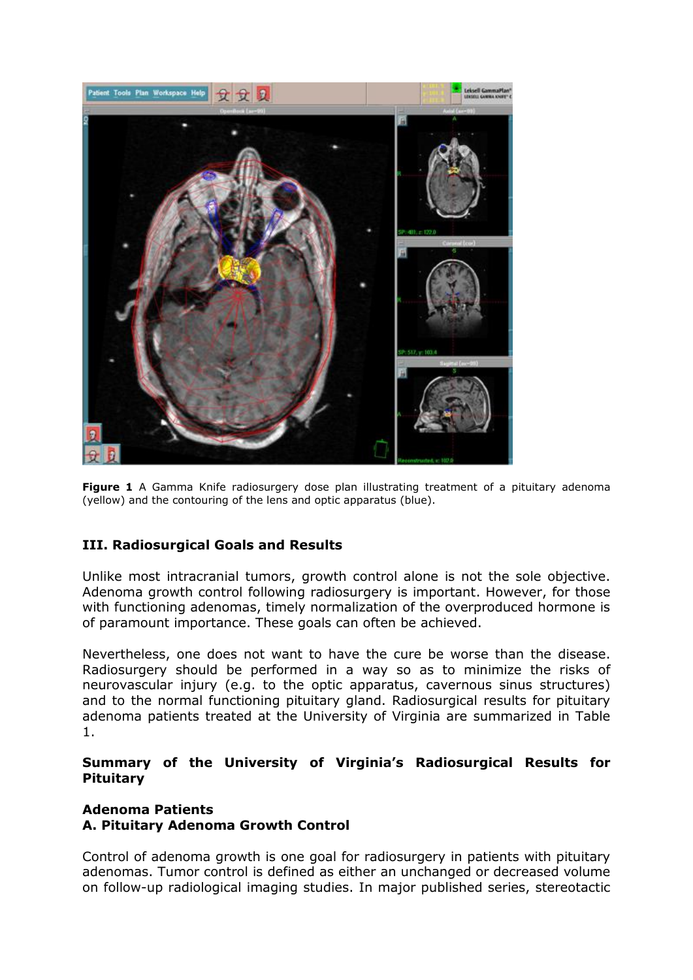

**Figure 1** A Gamma Knife radiosurgery dose plan illustrating treatment of a pituitary adenoma (yellow) and the contouring of the lens and optic apparatus (blue).

# **III. Radiosurgical Goals and Results**

Unlike most intracranial tumors, growth control alone is not the sole objective. Adenoma growth control following radiosurgery is important. However, for those with functioning adenomas, timely normalization of the overproduced hormone is of paramount importance. These goals can often be achieved.

Nevertheless, one does not want to have the cure be worse than the disease. Radiosurgery should be performed in a way so as to minimize the risks of neurovascular injury (e.g. to the optic apparatus, cavernous sinus structures) and to the normal functioning pituitary gland. Radiosurgical results for pituitary adenoma patients treated at the University of Virginia are summarized in Table 1.

#### **Summary of the University of Virginia's Radiosurgical Results for Pituitary**

## **Adenoma Patients A. Pituitary Adenoma Growth Control**

Control of adenoma growth is one goal for radiosurgery in patients with pituitary adenomas. Tumor control is defined as either an unchanged or decreased volume on follow-up radiological imaging studies. In major published series, stereotactic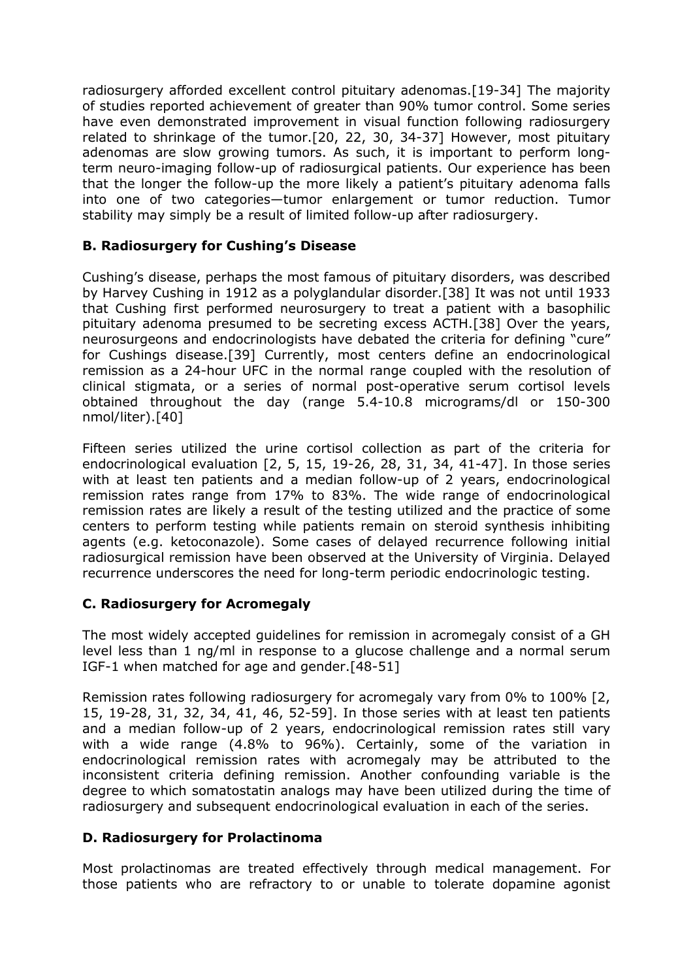radiosurgery afforded excellent control pituitary adenomas.[19-34] The majority of studies reported achievement of greater than 90% tumor control. Some series have even demonstrated improvement in visual function following radiosurgery related to shrinkage of the tumor.[20, 22, 30, 34-37] However, most pituitary adenomas are slow growing tumors. As such, it is important to perform longterm neuro-imaging follow-up of radiosurgical patients. Our experience has been that the longer the follow-up the more likely a patient's pituitary adenoma falls into one of two categories—tumor enlargement or tumor reduction. Tumor stability may simply be a result of limited follow-up after radiosurgery.

## **B. Radiosurgery for Cushing's Disease**

Cushing's disease, perhaps the most famous of pituitary disorders, was described by Harvey Cushing in 1912 as a polyglandular disorder.[38] It was not until 1933 that Cushing first performed neurosurgery to treat a patient with a basophilic pituitary adenoma presumed to be secreting excess ACTH.[38] Over the years, neurosurgeons and endocrinologists have debated the criteria for defining "cure" for Cushings disease.[39] Currently, most centers define an endocrinological remission as a 24-hour UFC in the normal range coupled with the resolution of clinical stigmata, or a series of normal post-operative serum cortisol levels obtained throughout the day (range 5.4-10.8 micrograms/dl or 150-300 nmol/liter).[40]

Fifteen series utilized the urine cortisol collection as part of the criteria for endocrinological evaluation [2, 5, 15, 19-26, 28, 31, 34, 41-47]. In those series with at least ten patients and a median follow-up of 2 years, endocrinological remission rates range from 17% to 83%. The wide range of endocrinological remission rates are likely a result of the testing utilized and the practice of some centers to perform testing while patients remain on steroid synthesis inhibiting agents (e.g. ketoconazole). Some cases of delayed recurrence following initial radiosurgical remission have been observed at the University of Virginia. Delayed recurrence underscores the need for long-term periodic endocrinologic testing.

# **C. Radiosurgery for Acromegaly**

The most widely accepted guidelines for remission in acromegaly consist of a GH level less than 1 ng/ml in response to a glucose challenge and a normal serum IGF-1 when matched for age and gender.[48-51]

Remission rates following radiosurgery for acromegaly vary from 0% to 100% [2, 15, 19-28, 31, 32, 34, 41, 46, 52-59]. In those series with at least ten patients and a median follow-up of 2 years, endocrinological remission rates still vary with a wide range (4.8% to 96%). Certainly, some of the variation in endocrinological remission rates with acromegaly may be attributed to the inconsistent criteria defining remission. Another confounding variable is the degree to which somatostatin analogs may have been utilized during the time of radiosurgery and subsequent endocrinological evaluation in each of the series.

### **D. Radiosurgery for Prolactinoma**

Most prolactinomas are treated effectively through medical management. For those patients who are refractory to or unable to tolerate dopamine agonist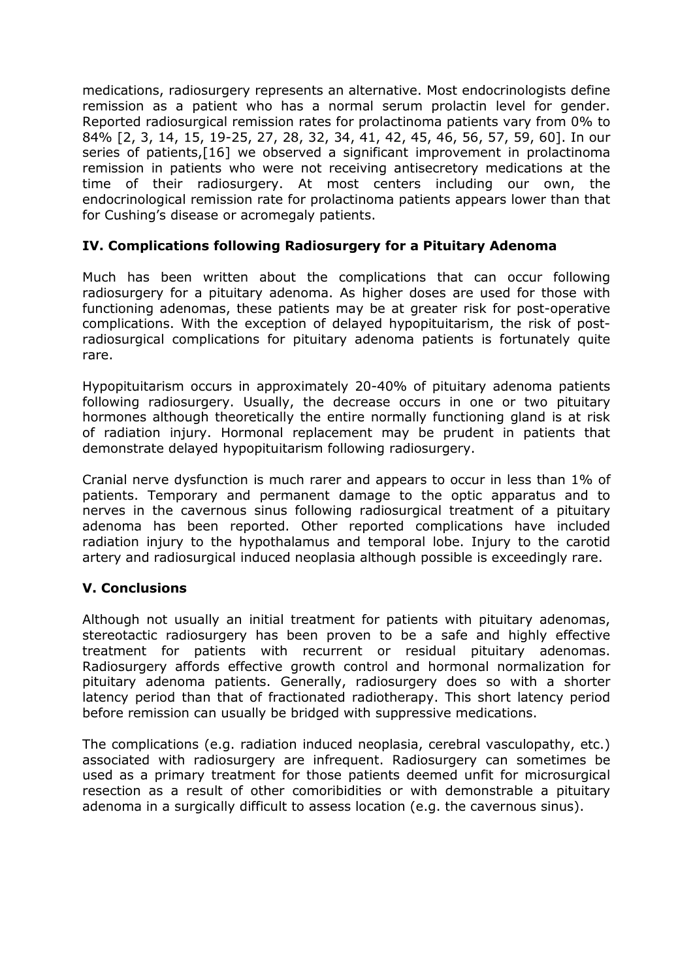medications, radiosurgery represents an alternative. Most endocrinologists define remission as a patient who has a normal serum prolactin level for gender. Reported radiosurgical remission rates for prolactinoma patients vary from 0% to 84% [2, 3, 14, 15, 19-25, 27, 28, 32, 34, 41, 42, 45, 46, 56, 57, 59, 60]. In our series of patients,[16] we observed a significant improvement in prolactinoma remission in patients who were not receiving antisecretory medications at the time of their radiosurgery. At most centers including our own, the endocrinological remission rate for prolactinoma patients appears lower than that for Cushing's disease or acromegaly patients.

## **IV. Complications following Radiosurgery for a Pituitary Adenoma**

Much has been written about the complications that can occur following radiosurgery for a pituitary adenoma. As higher doses are used for those with functioning adenomas, these patients may be at greater risk for post-operative complications. With the exception of delayed hypopituitarism, the risk of postradiosurgical complications for pituitary adenoma patients is fortunately quite rare.

Hypopituitarism occurs in approximately 20-40% of pituitary adenoma patients following radiosurgery. Usually, the decrease occurs in one or two pituitary hormones although theoretically the entire normally functioning gland is at risk of radiation injury. Hormonal replacement may be prudent in patients that demonstrate delayed hypopituitarism following radiosurgery.

Cranial nerve dysfunction is much rarer and appears to occur in less than 1% of patients. Temporary and permanent damage to the optic apparatus and to nerves in the cavernous sinus following radiosurgical treatment of a pituitary adenoma has been reported. Other reported complications have included radiation injury to the hypothalamus and temporal lobe. Injury to the carotid artery and radiosurgical induced neoplasia although possible is exceedingly rare.

# **V. Conclusions**

Although not usually an initial treatment for patients with pituitary adenomas, stereotactic radiosurgery has been proven to be a safe and highly effective treatment for patients with recurrent or residual pituitary adenomas. Radiosurgery affords effective growth control and hormonal normalization for pituitary adenoma patients. Generally, radiosurgery does so with a shorter latency period than that of fractionated radiotherapy. This short latency period before remission can usually be bridged with suppressive medications.

The complications (e.g. radiation induced neoplasia, cerebral vasculopathy, etc.) associated with radiosurgery are infrequent. Radiosurgery can sometimes be used as a primary treatment for those patients deemed unfit for microsurgical resection as a result of other comoribidities or with demonstrable a pituitary adenoma in a surgically difficult to assess location (e.g. the cavernous sinus).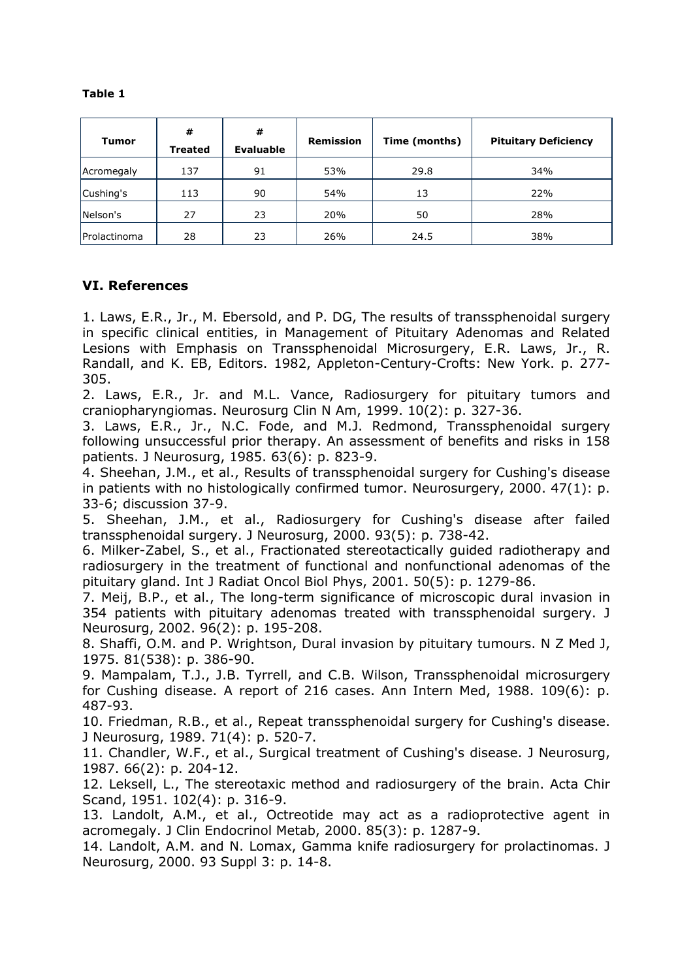#### **Table 1**

| <b>Tumor</b> | #<br><b>Treated</b> | #<br><b>Evaluable</b> | <b>Remission</b> | Time (months) | <b>Pituitary Deficiency</b> |
|--------------|---------------------|-----------------------|------------------|---------------|-----------------------------|
| Acromegaly   | 137                 | 91                    | 53%              | 29.8          | 34%                         |
| Cushing's    | 113                 | 90                    | 54%              | 13            | 22%                         |
| Nelson's     | 27                  | 23                    | 20%              | 50            | 28%                         |
| Prolactinoma | 28                  | 23                    | 26%              | 24.5          | 38%                         |

### **VI. References**

1. Laws, E.R., Jr., M. Ebersold, and P. DG, The results of transsphenoidal surgery in specific clinical entities, in Management of Pituitary Adenomas and Related Lesions with Emphasis on Transsphenoidal Microsurgery, E.R. Laws, Jr., R. Randall, and K. EB, Editors. 1982, Appleton-Century-Crofts: New York. p. 277- 305.

2. Laws, E.R., Jr. and M.L. Vance, Radiosurgery for pituitary tumors and craniopharyngiomas. Neurosurg Clin N Am, 1999. 10(2): p. 327-36.

3. Laws, E.R., Jr., N.C. Fode, and M.J. Redmond, Transsphenoidal surgery following unsuccessful prior therapy. An assessment of benefits and risks in 158 patients. J Neurosurg, 1985. 63(6): p. 823-9.

4. Sheehan, J.M., et al., Results of transsphenoidal surgery for Cushing's disease in patients with no histologically confirmed tumor. Neurosurgery, 2000. 47(1): p. 33-6; discussion 37-9.

5. Sheehan, J.M., et al., Radiosurgery for Cushing's disease after failed transsphenoidal surgery. J Neurosurg, 2000. 93(5): p. 738-42.

6. Milker-Zabel, S., et al., Fractionated stereotactically guided radiotherapy and radiosurgery in the treatment of functional and nonfunctional adenomas of the pituitary gland. Int J Radiat Oncol Biol Phys, 2001. 50(5): p. 1279-86.

7. Meij, B.P., et al., The long-term significance of microscopic dural invasion in 354 patients with pituitary adenomas treated with transsphenoidal surgery. J Neurosurg, 2002. 96(2): p. 195-208.

8. Shaffi, O.M. and P. Wrightson, Dural invasion by pituitary tumours. N Z Med J, 1975. 81(538): p. 386-90.

9. Mampalam, T.J., J.B. Tyrrell, and C.B. Wilson, Transsphenoidal microsurgery for Cushing disease. A report of 216 cases. Ann Intern Med, 1988. 109(6): p. 487-93.

10. Friedman, R.B., et al., Repeat transsphenoidal surgery for Cushing's disease. J Neurosurg, 1989. 71(4): p. 520-7.

11. Chandler, W.F., et al., Surgical treatment of Cushing's disease. J Neurosurg, 1987. 66(2): p. 204-12.

12. Leksell, L., The stereotaxic method and radiosurgery of the brain. Acta Chir Scand, 1951. 102(4): p. 316-9.

13. Landolt, A.M., et al., Octreotide may act as a radioprotective agent in acromegaly. J Clin Endocrinol Metab, 2000. 85(3): p. 1287-9.

14. Landolt, A.M. and N. Lomax, Gamma knife radiosurgery for prolactinomas. J Neurosurg, 2000. 93 Suppl 3: p. 14-8.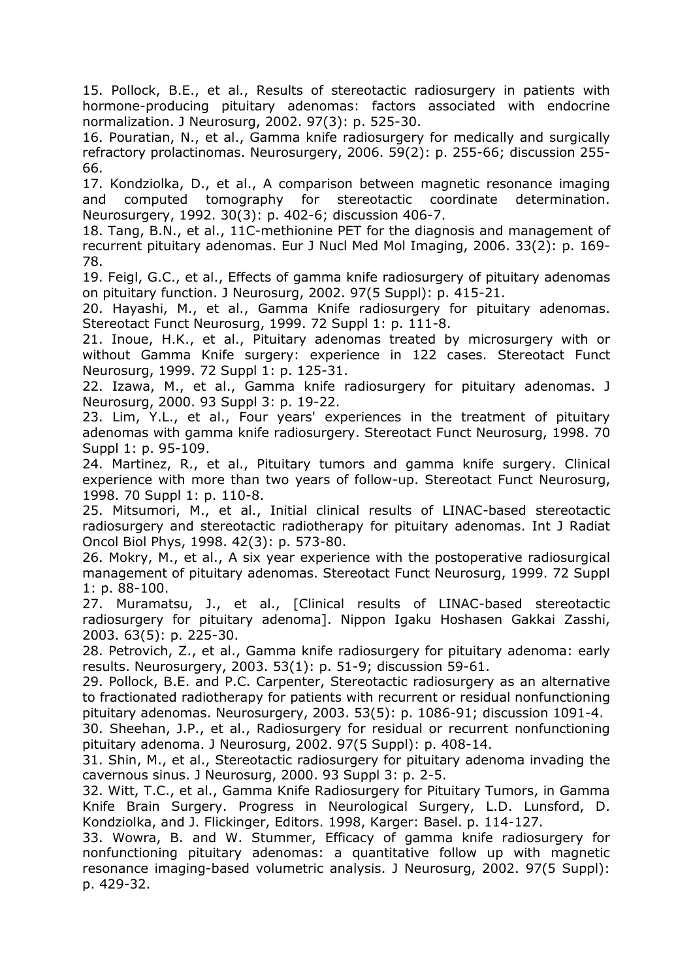15. Pollock, B.E., et al., Results of stereotactic radiosurgery in patients with hormone-producing pituitary adenomas: factors associated with endocrine normalization. J Neurosurg, 2002. 97(3): p. 525-30.

16. Pouratian, N., et al., Gamma knife radiosurgery for medically and surgically refractory prolactinomas. Neurosurgery, 2006. 59(2): p. 255-66; discussion 255- 66.

17. Kondziolka, D., et al., A comparison between magnetic resonance imaging and computed tomography for stereotactic coordinate determination. Neurosurgery, 1992. 30(3): p. 402-6; discussion 406-7.

18. Tang, B.N., et al., 11C-methionine PET for the diagnosis and management of recurrent pituitary adenomas. Eur J Nucl Med Mol Imaging, 2006. 33(2): p. 169- 78.

19. Feigl, G.C., et al., Effects of gamma knife radiosurgery of pituitary adenomas on pituitary function. J Neurosurg, 2002. 97(5 Suppl): p. 415-21.

20. Hayashi, M., et al., Gamma Knife radiosurgery for pituitary adenomas. Stereotact Funct Neurosurg, 1999. 72 Suppl 1: p. 111-8.

21. Inoue, H.K., et al., Pituitary adenomas treated by microsurgery with or without Gamma Knife surgery: experience in 122 cases. Stereotact Funct Neurosurg, 1999. 72 Suppl 1: p. 125-31.

22. Izawa, M., et al., Gamma knife radiosurgery for pituitary adenomas. J Neurosurg, 2000. 93 Suppl 3: p. 19-22.

23. Lim, Y.L., et al., Four years' experiences in the treatment of pituitary adenomas with gamma knife radiosurgery. Stereotact Funct Neurosurg, 1998. 70 Suppl 1: p. 95-109.

24. Martinez, R., et al., Pituitary tumors and gamma knife surgery. Clinical experience with more than two years of follow-up. Stereotact Funct Neurosurg, 1998. 70 Suppl 1: p. 110-8.

25. Mitsumori, M., et al., Initial clinical results of LINAC-based stereotactic radiosurgery and stereotactic radiotherapy for pituitary adenomas. Int J Radiat Oncol Biol Phys, 1998. 42(3): p. 573-80.

26. Mokry, M., et al., A six year experience with the postoperative radiosurgical management of pituitary adenomas. Stereotact Funct Neurosurg, 1999. 72 Suppl 1: p. 88-100.

27. Muramatsu, J., et al., [Clinical results of LINAC-based stereotactic radiosurgery for pituitary adenoma]. Nippon Igaku Hoshasen Gakkai Zasshi, 2003. 63(5): p. 225-30.

28. Petrovich, Z., et al., Gamma knife radiosurgery for pituitary adenoma: early results. Neurosurgery, 2003. 53(1): p. 51-9; discussion 59-61.

29. Pollock, B.E. and P.C. Carpenter, Stereotactic radiosurgery as an alternative to fractionated radiotherapy for patients with recurrent or residual nonfunctioning pituitary adenomas. Neurosurgery, 2003. 53(5): p. 1086-91; discussion 1091-4.

30. Sheehan, J.P., et al., Radiosurgery for residual or recurrent nonfunctioning pituitary adenoma. J Neurosurg, 2002. 97(5 Suppl): p. 408-14.

31. Shin, M., et al., Stereotactic radiosurgery for pituitary adenoma invading the cavernous sinus. J Neurosurg, 2000. 93 Suppl 3: p. 2-5.

32. Witt, T.C., et al., Gamma Knife Radiosurgery for Pituitary Tumors, in Gamma Knife Brain Surgery. Progress in Neurological Surgery, L.D. Lunsford, D. Kondziolka, and J. Flickinger, Editors. 1998, Karger: Basel. p. 114-127.

33. Wowra, B. and W. Stummer, Efficacy of gamma knife radiosurgery for nonfunctioning pituitary adenomas: a quantitative follow up with magnetic resonance imaging-based volumetric analysis. J Neurosurg, 2002. 97(5 Suppl): p. 429-32.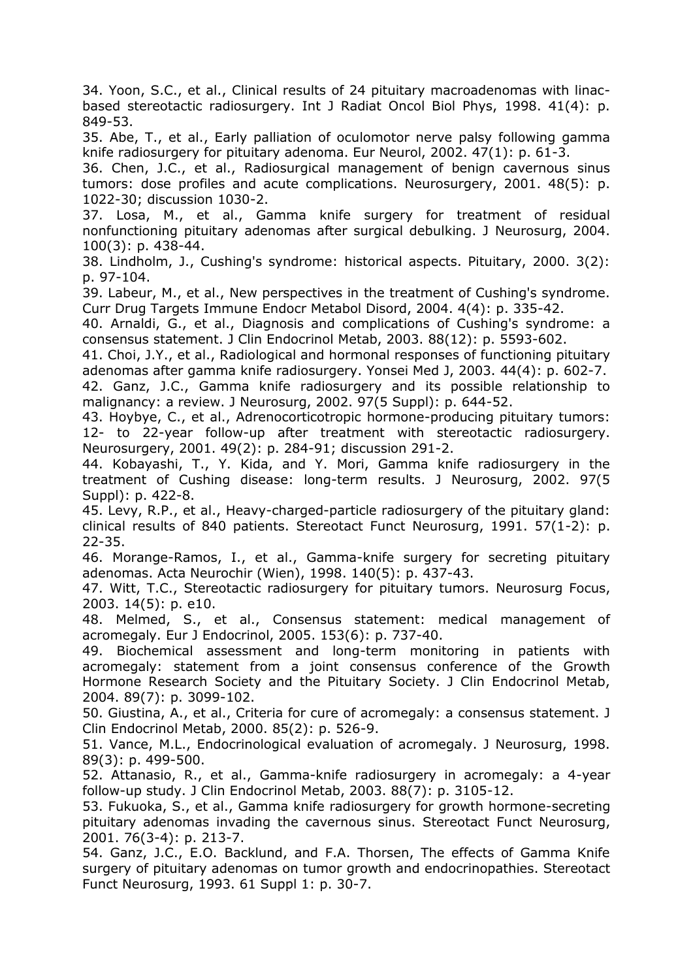34. Yoon, S.C., et al., Clinical results of 24 pituitary macroadenomas with linacbased stereotactic radiosurgery. Int J Radiat Oncol Biol Phys, 1998. 41(4): p. 849-53.

35. Abe, T., et al., Early palliation of oculomotor nerve palsy following gamma knife radiosurgery for pituitary adenoma. Eur Neurol, 2002. 47(1): p. 61-3.

36. Chen, J.C., et al., Radiosurgical management of benign cavernous sinus tumors: dose profiles and acute complications. Neurosurgery, 2001. 48(5): p. 1022-30; discussion 1030-2.

37. Losa, M., et al., Gamma knife surgery for treatment of residual nonfunctioning pituitary adenomas after surgical debulking. J Neurosurg, 2004. 100(3): p. 438-44.

38. Lindholm, J., Cushing's syndrome: historical aspects. Pituitary, 2000. 3(2): p. 97-104.

39. Labeur, M., et al., New perspectives in the treatment of Cushing's syndrome. Curr Drug Targets Immune Endocr Metabol Disord, 2004. 4(4): p. 335-42.

40. Arnaldi, G., et al., Diagnosis and complications of Cushing's syndrome: a consensus statement. J Clin Endocrinol Metab, 2003. 88(12): p. 5593-602.

41. Choi, J.Y., et al., Radiological and hormonal responses of functioning pituitary adenomas after gamma knife radiosurgery. Yonsei Med J, 2003. 44(4): p. 602-7.

42. Ganz, J.C., Gamma knife radiosurgery and its possible relationship to malignancy: a review. J Neurosurg, 2002. 97(5 Suppl): p. 644-52.

43. Hoybye, C., et al., Adrenocorticotropic hormone-producing pituitary tumors: 12- to 22-year follow-up after treatment with stereotactic radiosurgery. Neurosurgery, 2001. 49(2): p. 284-91; discussion 291-2.

44. Kobayashi, T., Y. Kida, and Y. Mori, Gamma knife radiosurgery in the treatment of Cushing disease: long-term results. J Neurosurg, 2002. 97(5 Suppl): p. 422-8.

45. Levy, R.P., et al., Heavy-charged-particle radiosurgery of the pituitary gland: clinical results of 840 patients. Stereotact Funct Neurosurg, 1991. 57(1-2): p. 22-35.

46. Morange-Ramos, I., et al., Gamma-knife surgery for secreting pituitary adenomas. Acta Neurochir (Wien), 1998. 140(5): p. 437-43.

47. Witt, T.C., Stereotactic radiosurgery for pituitary tumors. Neurosurg Focus, 2003. 14(5): p. e10.

48. Melmed, S., et al., Consensus statement: medical management of acromegaly. Eur J Endocrinol, 2005. 153(6): p. 737-40.

49. Biochemical assessment and long-term monitoring in patients with acromegaly: statement from a joint consensus conference of the Growth Hormone Research Society and the Pituitary Society. J Clin Endocrinol Metab, 2004. 89(7): p. 3099-102.

50. Giustina, A., et al., Criteria for cure of acromegaly: a consensus statement. J Clin Endocrinol Metab, 2000. 85(2): p. 526-9.

51. Vance, M.L., Endocrinological evaluation of acromegaly. J Neurosurg, 1998. 89(3): p. 499-500.

52. Attanasio, R., et al., Gamma-knife radiosurgery in acromegaly: a 4-year follow-up study. J Clin Endocrinol Metab, 2003. 88(7): p. 3105-12.

53. Fukuoka, S., et al., Gamma knife radiosurgery for growth hormone-secreting pituitary adenomas invading the cavernous sinus. Stereotact Funct Neurosurg, 2001. 76(3-4): p. 213-7.

54. Ganz, J.C., E.O. Backlund, and F.A. Thorsen, The effects of Gamma Knife surgery of pituitary adenomas on tumor growth and endocrinopathies. Stereotact Funct Neurosurg, 1993. 61 Suppl 1: p. 30-7.